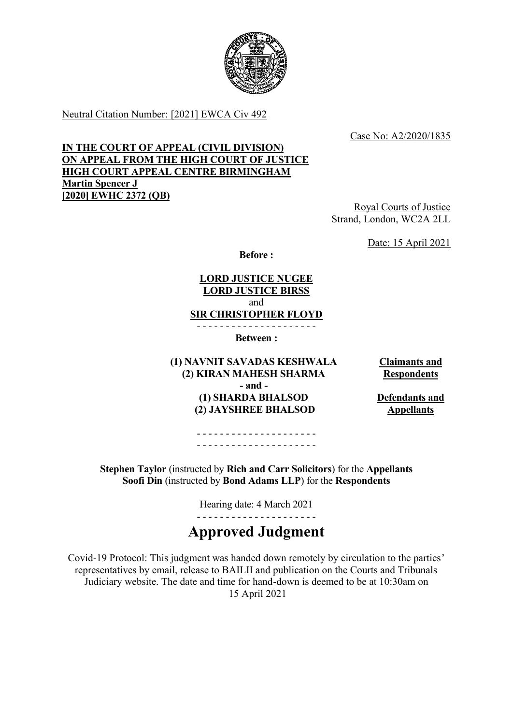

Neutral Citation Number: [2021] EWCA Civ 492

Case No: A2/2020/1835

#### **IN THE COURT OF APPEAL (CIVIL DIVISION) ON APPEAL FROM THE HIGH COURT OF JUSTICE HIGH COURT APPEAL CENTRE BIRMINGHAM Martin Spencer J [2020] EWHC 2372 (QB)**

Royal Courts of Justice Strand, London, WC2A 2LL

Date: 15 April 2021

**Before :**

# **LORD JUSTICE NUGEE LORD JUSTICE BIRSS** and **SIR CHRISTOPHER FLOYD**

- - - - - - - - - - - - - - - - - - - - -

**Between :**

**(1) NAVNIT SAVADAS KESHWALA (2) KIRAN MAHESH SHARMA - and - (1) SHARDA BHALSOD (2) JAYSHREE BHALSOD**

**Claimants and Respondents**

**Defendants and Appellants** 

- - - - - - - - - - - - - - - - - - - - - - - - - - - - - - - - - - - - - - - - - -

**Stephen Taylor** (instructed by **Rich and Carr Solicitors**) for the **Appellants Soofi Din** (instructed by **Bond Adams LLP**) for the **Respondents**

Hearing date: 4 March 2021

- - - - - - - - - - - - - - - - - - - - - **Approved Judgment**

Covid-19 Protocol: This judgment was handed down remotely by circulation to the parties' representatives by email, release to BAILII and publication on the Courts and Tribunals Judiciary website. The date and time for hand-down is deemed to be at 10:30am on 15 April 2021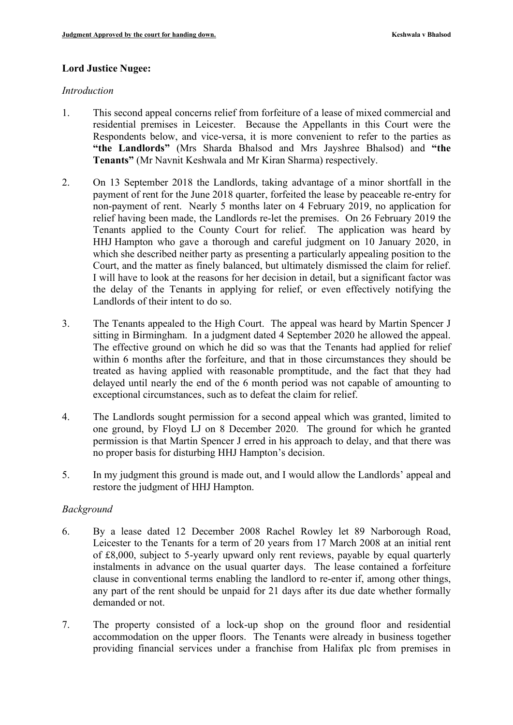### **Lord Justice Nugee:**

#### *Introduction*

- 1. This second appeal concerns relief from forfeiture of a lease of mixed commercial and residential premises in Leicester. Because the Appellants in this Court were the Respondents below, and vice-versa, it is more convenient to refer to the parties as **"the Landlords"** (Mrs Sharda Bhalsod and Mrs Jayshree Bhalsod) and **"the Tenants"** (Mr Navnit Keshwala and Mr Kiran Sharma) respectively.
- 2. On 13 September 2018 the Landlords, taking advantage of a minor shortfall in the payment of rent for the June 2018 quarter, forfeited the lease by peaceable re-entry for non-payment of rent. Nearly 5 months later on 4 February 2019, no application for relief having been made, the Landlords re-let the premises. On 26 February 2019 the Tenants applied to the County Court for relief. The application was heard by HHJ Hampton who gave a thorough and careful judgment on 10 January 2020, in which she described neither party as presenting a particularly appealing position to the Court, and the matter as finely balanced, but ultimately dismissed the claim for relief. I will have to look at the reasons for her decision in detail, but a significant factor was the delay of the Tenants in applying for relief, or even effectively notifying the Landlords of their intent to do so.
- 3. The Tenants appealed to the High Court. The appeal was heard by Martin Spencer J sitting in Birmingham. In a judgment dated 4 September 2020 he allowed the appeal. The effective ground on which he did so was that the Tenants had applied for relief within 6 months after the forfeiture, and that in those circumstances they should be treated as having applied with reasonable promptitude, and the fact that they had delayed until nearly the end of the 6 month period was not capable of amounting to exceptional circumstances, such as to defeat the claim for relief.
- 4. The Landlords sought permission for a second appeal which was granted, limited to one ground, by Floyd LJ on 8 December 2020. The ground for which he granted permission is that Martin Spencer J erred in his approach to delay, and that there was no proper basis for disturbing HHJ Hampton's decision.
- 5. In my judgment this ground is made out, and I would allow the Landlords' appeal and restore the judgment of HHJ Hampton.

#### *Background*

- 6. By a lease dated 12 December 2008 Rachel Rowley let 89 Narborough Road, Leicester to the Tenants for a term of 20 years from 17 March 2008 at an initial rent of £8,000, subject to 5-yearly upward only rent reviews, payable by equal quarterly instalments in advance on the usual quarter days. The lease contained a forfeiture clause in conventional terms enabling the landlord to re-enter if, among other things, any part of the rent should be unpaid for 21 days after its due date whether formally demanded or not.
- 7. The property consisted of a lock-up shop on the ground floor and residential accommodation on the upper floors. The Tenants were already in business together providing financial services under a franchise from Halifax plc from premises in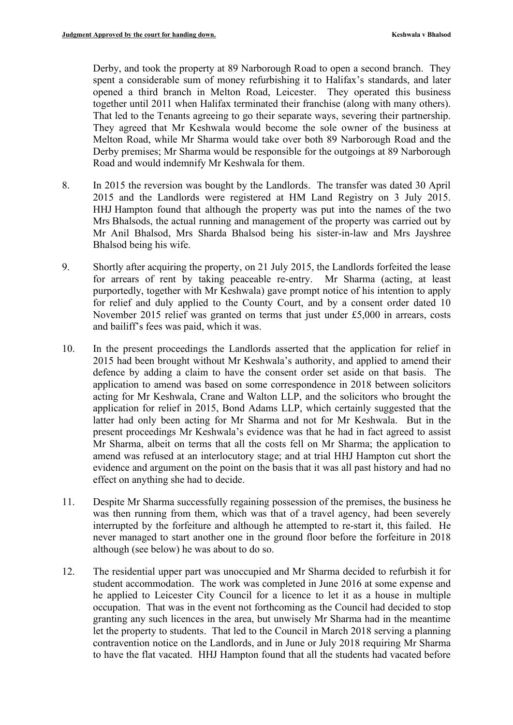Derby, and took the property at 89 Narborough Road to open a second branch. They spent a considerable sum of money refurbishing it to Halifax's standards, and later opened a third branch in Melton Road, Leicester. They operated this business together until 2011 when Halifax terminated their franchise (along with many others). That led to the Tenants agreeing to go their separate ways, severing their partnership. They agreed that Mr Keshwala would become the sole owner of the business at Melton Road, while Mr Sharma would take over both 89 Narborough Road and the Derby premises; Mr Sharma would be responsible for the outgoings at 89 Narborough Road and would indemnify Mr Keshwala for them.

- 8. In 2015 the reversion was bought by the Landlords. The transfer was dated 30 April 2015 and the Landlords were registered at HM Land Registry on 3 July 2015. HHJ Hampton found that although the property was put into the names of the two Mrs Bhalsods, the actual running and management of the property was carried out by Mr Anil Bhalsod, Mrs Sharda Bhalsod being his sister-in-law and Mrs Jayshree Bhalsod being his wife.
- 9. Shortly after acquiring the property, on 21 July 2015, the Landlords forfeited the lease for arrears of rent by taking peaceable re-entry. Mr Sharma (acting, at least purportedly, together with Mr Keshwala) gave prompt notice of his intention to apply for relief and duly applied to the County Court, and by a consent order dated 10 November 2015 relief was granted on terms that just under £5,000 in arrears, costs and bailiff's fees was paid, which it was.
- 10. In the present proceedings the Landlords asserted that the application for relief in 2015 had been brought without Mr Keshwala's authority, and applied to amend their defence by adding a claim to have the consent order set aside on that basis. The application to amend was based on some correspondence in 2018 between solicitors acting for Mr Keshwala, Crane and Walton LLP, and the solicitors who brought the application for relief in 2015, Bond Adams LLP, which certainly suggested that the latter had only been acting for Mr Sharma and not for Mr Keshwala. But in the present proceedings Mr Keshwala's evidence was that he had in fact agreed to assist Mr Sharma, albeit on terms that all the costs fell on Mr Sharma; the application to amend was refused at an interlocutory stage; and at trial HHJ Hampton cut short the evidence and argument on the point on the basis that it was all past history and had no effect on anything she had to decide.
- 11. Despite Mr Sharma successfully regaining possession of the premises, the business he was then running from them, which was that of a travel agency, had been severely interrupted by the forfeiture and although he attempted to re-start it, this failed. He never managed to start another one in the ground floor before the forfeiture in 2018 although (see below) he was about to do so.
- 12. The residential upper part was unoccupied and Mr Sharma decided to refurbish it for student accommodation. The work was completed in June 2016 at some expense and he applied to Leicester City Council for a licence to let it as a house in multiple occupation. That was in the event not forthcoming as the Council had decided to stop granting any such licences in the area, but unwisely Mr Sharma had in the meantime let the property to students. That led to the Council in March 2018 serving a planning contravention notice on the Landlords, and in June or July 2018 requiring Mr Sharma to have the flat vacated. HHJ Hampton found that all the students had vacated before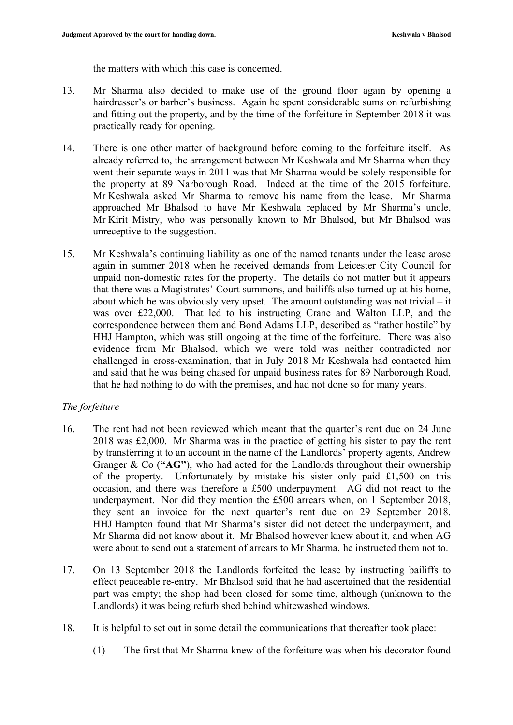the matters with which this case is concerned.

- 13. Mr Sharma also decided to make use of the ground floor again by opening a hairdresser's or barber's business. Again he spent considerable sums on refurbishing and fitting out the property, and by the time of the forfeiture in September 2018 it was practically ready for opening.
- 14. There is one other matter of background before coming to the forfeiture itself. As already referred to, the arrangement between Mr Keshwala and Mr Sharma when they went their separate ways in 2011 was that Mr Sharma would be solely responsible for the property at 89 Narborough Road. Indeed at the time of the 2015 forfeiture, Mr Keshwala asked Mr Sharma to remove his name from the lease. Mr Sharma approached Mr Bhalsod to have Mr Keshwala replaced by Mr Sharma's uncle, Mr Kirit Mistry, who was personally known to Mr Bhalsod, but Mr Bhalsod was unreceptive to the suggestion.
- 15. Mr Keshwala's continuing liability as one of the named tenants under the lease arose again in summer 2018 when he received demands from Leicester City Council for unpaid non-domestic rates for the property. The details do not matter but it appears that there was a Magistrates' Court summons, and bailiffs also turned up at his home, about which he was obviously very upset. The amount outstanding was not trivial – it was over £22,000. That led to his instructing Crane and Walton LLP, and the correspondence between them and Bond Adams LLP, described as "rather hostile" by HHJ Hampton, which was still ongoing at the time of the forfeiture. There was also evidence from Mr Bhalsod, which we were told was neither contradicted nor challenged in cross-examination, that in July 2018 Mr Keshwala had contacted him and said that he was being chased for unpaid business rates for 89 Narborough Road, that he had nothing to do with the premises, and had not done so for many years.

# *The forfeiture*

- 16. The rent had not been reviewed which meant that the quarter's rent due on 24 June 2018 was £2,000. Mr Sharma was in the practice of getting his sister to pay the rent by transferring it to an account in the name of the Landlords' property agents, Andrew Granger & Co (**"AG"**), who had acted for the Landlords throughout their ownership of the property. Unfortunately by mistake his sister only paid £1,500 on this occasion, and there was therefore a £500 underpayment. AG did not react to the underpayment. Nor did they mention the £500 arrears when, on 1 September 2018, they sent an invoice for the next quarter's rent due on 29 September 2018. HHJ Hampton found that Mr Sharma's sister did not detect the underpayment, and Mr Sharma did not know about it. Mr Bhalsod however knew about it, and when AG were about to send out a statement of arrears to Mr Sharma, he instructed them not to.
- 17. On 13 September 2018 the Landlords forfeited the lease by instructing bailiffs to effect peaceable re-entry. Mr Bhalsod said that he had ascertained that the residential part was empty; the shop had been closed for some time, although (unknown to the Landlords) it was being refurbished behind whitewashed windows.
- 18. It is helpful to set out in some detail the communications that thereafter took place:
	- (1) The first that Mr Sharma knew of the forfeiture was when his decorator found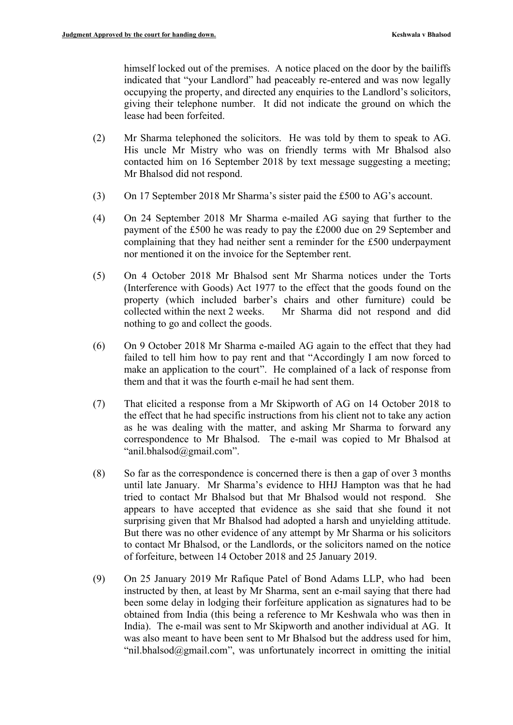himself locked out of the premises. A notice placed on the door by the bailiffs indicated that "your Landlord" had peaceably re-entered and was now legally occupying the property, and directed any enquiries to the Landlord's solicitors, giving their telephone number. It did not indicate the ground on which the lease had been forfeited.

- (2) Mr Sharma telephoned the solicitors. He was told by them to speak to AG. His uncle Mr Mistry who was on friendly terms with Mr Bhalsod also contacted him on 16 September 2018 by text message suggesting a meeting; Mr Bhalsod did not respond.
- (3) On 17 September 2018 Mr Sharma's sister paid the £500 to AG's account.
- (4) On 24 September 2018 Mr Sharma e-mailed AG saying that further to the payment of the £500 he was ready to pay the £2000 due on 29 September and complaining that they had neither sent a reminder for the £500 underpayment nor mentioned it on the invoice for the September rent.
- (5) On 4 October 2018 Mr Bhalsod sent Mr Sharma notices under the Torts (Interference with Goods) Act 1977 to the effect that the goods found on the property (which included barber's chairs and other furniture) could be collected within the next 2 weeks. Mr Sharma did not respond and did nothing to go and collect the goods.
- (6) On 9 October 2018 Mr Sharma e-mailed AG again to the effect that they had failed to tell him how to pay rent and that "Accordingly I am now forced to make an application to the court". He complained of a lack of response from them and that it was the fourth e-mail he had sent them.
- (7) That elicited a response from a Mr Skipworth of AG on 14 October 2018 to the effect that he had specific instructions from his client not to take any action as he was dealing with the matter, and asking Mr Sharma to forward any correspondence to Mr Bhalsod. The e-mail was copied to Mr Bhalsod at "anil.bhalsod@gmail.com".
- (8) So far as the correspondence is concerned there is then a gap of over 3 months until late January. Mr Sharma's evidence to HHJ Hampton was that he had tried to contact Mr Bhalsod but that Mr Bhalsod would not respond. She appears to have accepted that evidence as she said that she found it not surprising given that Mr Bhalsod had adopted a harsh and unyielding attitude. But there was no other evidence of any attempt by Mr Sharma or his solicitors to contact Mr Bhalsod, or the Landlords, or the solicitors named on the notice of forfeiture, between 14 October 2018 and 25 January 2019.
- (9) On 25 January 2019 Mr Rafique Patel of Bond Adams LLP, who had been instructed by then, at least by Mr Sharma, sent an e-mail saying that there had been some delay in lodging their forfeiture application as signatures had to be obtained from India (this being a reference to Mr Keshwala who was then in India). The e-mail was sent to Mr Skipworth and another individual at AG. It was also meant to have been sent to Mr Bhalsod but the address used for him, "nil.bhalsod@gmail.com", was unfortunately incorrect in omitting the initial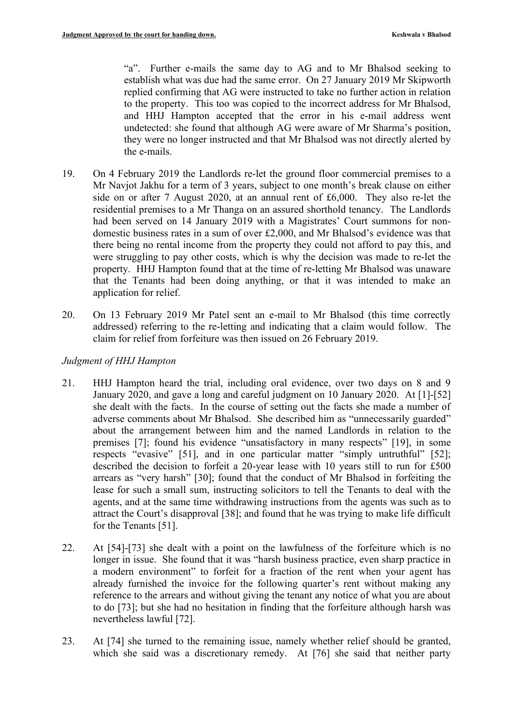"a". Further e-mails the same day to AG and to Mr Bhalsod seeking to establish what was due had the same error. On 27 January 2019 Mr Skipworth replied confirming that AG were instructed to take no further action in relation to the property. This too was copied to the incorrect address for Mr Bhalsod, and HHJ Hampton accepted that the error in his e-mail address went undetected: she found that although AG were aware of Mr Sharma's position, they were no longer instructed and that Mr Bhalsod was not directly alerted by the e-mails.

- 19. On 4 February 2019 the Landlords re-let the ground floor commercial premises to a Mr Navjot Jakhu for a term of 3 years, subject to one month's break clause on either side on or after 7 August 2020, at an annual rent of £6,000. They also re-let the residential premises to a Mr Thanga on an assured shorthold tenancy. The Landlords had been served on 14 January 2019 with a Magistrates' Court summons for nondomestic business rates in a sum of over £2,000, and Mr Bhalsod's evidence was that there being no rental income from the property they could not afford to pay this, and were struggling to pay other costs, which is why the decision was made to re-let the property. HHJ Hampton found that at the time of re-letting Mr Bhalsod was unaware that the Tenants had been doing anything, or that it was intended to make an application for relief.
- 20. On 13 February 2019 Mr Patel sent an e-mail to Mr Bhalsod (this time correctly addressed) referring to the re-letting and indicating that a claim would follow. The claim for relief from forfeiture was then issued on 26 February 2019.

### *Judgment of HHJ Hampton*

- 21. HHJ Hampton heard the trial, including oral evidence, over two days on 8 and 9 January 2020, and gave a long and careful judgment on 10 January 2020. At [1]-[52] she dealt with the facts. In the course of setting out the facts she made a number of adverse comments about Mr Bhalsod. She described him as "unnecessarily guarded" about the arrangement between him and the named Landlords in relation to the premises [7]; found his evidence "unsatisfactory in many respects" [19], in some respects "evasive" [51], and in one particular matter "simply untruthful" [52]; described the decision to forfeit a 20-year lease with 10 years still to run for £500 arrears as "very harsh" [30]; found that the conduct of Mr Bhalsod in forfeiting the lease for such a small sum, instructing solicitors to tell the Tenants to deal with the agents, and at the same time withdrawing instructions from the agents was such as to attract the Court's disapproval [38]; and found that he was trying to make life difficult for the Tenants [51].
- 22. At [54]-[73] she dealt with a point on the lawfulness of the forfeiture which is no longer in issue. She found that it was "harsh business practice, even sharp practice in a modern environment" to forfeit for a fraction of the rent when your agent has already furnished the invoice for the following quarter's rent without making any reference to the arrears and without giving the tenant any notice of what you are about to do [73]; but she had no hesitation in finding that the forfeiture although harsh was nevertheless lawful [72].
- 23. At [74] she turned to the remaining issue, namely whether relief should be granted, which she said was a discretionary remedy. At [76] she said that neither party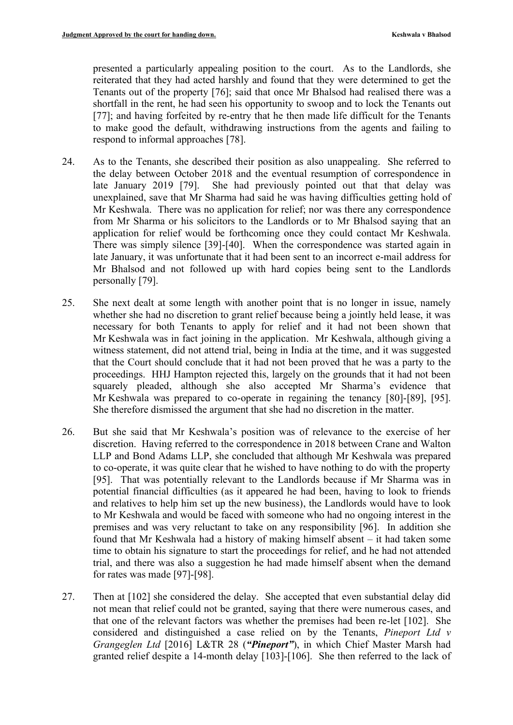presented a particularly appealing position to the court. As to the Landlords, she reiterated that they had acted harshly and found that they were determined to get the Tenants out of the property [76]; said that once Mr Bhalsod had realised there was a shortfall in the rent, he had seen his opportunity to swoop and to lock the Tenants out [77]; and having forfeited by re-entry that he then made life difficult for the Tenants to make good the default, withdrawing instructions from the agents and failing to respond to informal approaches [78].

- 24. As to the Tenants, she described their position as also unappealing. She referred to the delay between October 2018 and the eventual resumption of correspondence in late January 2019 [79]. She had previously pointed out that that delay was unexplained, save that Mr Sharma had said he was having difficulties getting hold of Mr Keshwala. There was no application for relief; nor was there any correspondence from Mr Sharma or his solicitors to the Landlords or to Mr Bhalsod saying that an application for relief would be forthcoming once they could contact Mr Keshwala. There was simply silence [39]-[40]. When the correspondence was started again in late January, it was unfortunate that it had been sent to an incorrect e-mail address for Mr Bhalsod and not followed up with hard copies being sent to the Landlords personally [79].
- 25. She next dealt at some length with another point that is no longer in issue, namely whether she had no discretion to grant relief because being a jointly held lease, it was necessary for both Tenants to apply for relief and it had not been shown that Mr Keshwala was in fact joining in the application. Mr Keshwala, although giving a witness statement, did not attend trial, being in India at the time, and it was suggested that the Court should conclude that it had not been proved that he was a party to the proceedings. HHJ Hampton rejected this, largely on the grounds that it had not been squarely pleaded, although she also accepted Mr Sharma's evidence that Mr Keshwala was prepared to co-operate in regaining the tenancy [80]-[89], [95]. She therefore dismissed the argument that she had no discretion in the matter.
- 26. But she said that Mr Keshwala's position was of relevance to the exercise of her discretion. Having referred to the correspondence in 2018 between Crane and Walton LLP and Bond Adams LLP, she concluded that although Mr Keshwala was prepared to co-operate, it was quite clear that he wished to have nothing to do with the property [95]. That was potentially relevant to the Landlords because if Mr Sharma was in potential financial difficulties (as it appeared he had been, having to look to friends and relatives to help him set up the new business), the Landlords would have to look to Mr Keshwala and would be faced with someone who had no ongoing interest in the premises and was very reluctant to take on any responsibility [96]. In addition she found that Mr Keshwala had a history of making himself absent – it had taken some time to obtain his signature to start the proceedings for relief, and he had not attended trial, and there was also a suggestion he had made himself absent when the demand for rates was made [97]-[98].
- 27. Then at [102] she considered the delay. She accepted that even substantial delay did not mean that relief could not be granted, saying that there were numerous cases, and that one of the relevant factors was whether the premises had been re-let [102]. She considered and distinguished a case relied on by the Tenants, *Pineport Ltd v Grangeglen Ltd* [2016] L&TR 28 (*"Pineport"*), in which Chief Master Marsh had granted relief despite a 14-month delay [103]-[106]. She then referred to the lack of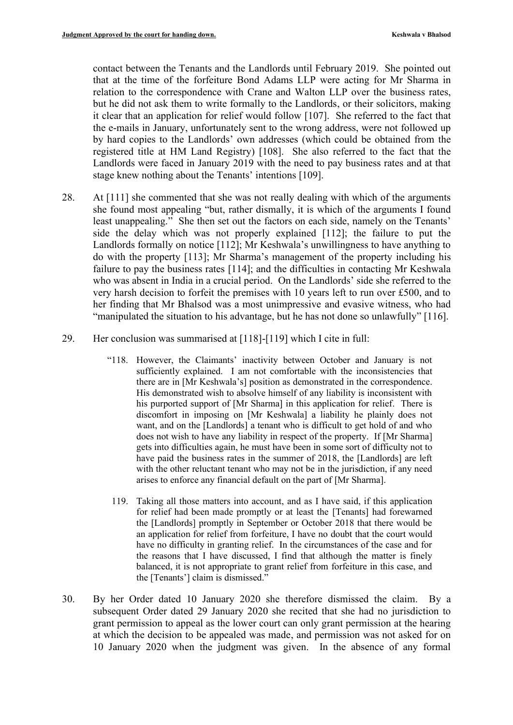contact between the Tenants and the Landlords until February 2019. She pointed out that at the time of the forfeiture Bond Adams LLP were acting for Mr Sharma in relation to the correspondence with Crane and Walton LLP over the business rates, but he did not ask them to write formally to the Landlords, or their solicitors, making it clear that an application for relief would follow [107]. She referred to the fact that the e-mails in January, unfortunately sent to the wrong address, were not followed up by hard copies to the Landlords' own addresses (which could be obtained from the registered title at HM Land Registry) [108]. She also referred to the fact that the Landlords were faced in January 2019 with the need to pay business rates and at that stage knew nothing about the Tenants' intentions [109].

- 28. At [111] she commented that she was not really dealing with which of the arguments she found most appealing "but, rather dismally, it is which of the arguments I found least unappealing." She then set out the factors on each side, namely on the Tenants' side the delay which was not properly explained [112]; the failure to put the Landlords formally on notice [112]; Mr Keshwala's unwillingness to have anything to do with the property [113]; Mr Sharma's management of the property including his failure to pay the business rates [114]; and the difficulties in contacting Mr Keshwala who was absent in India in a crucial period. On the Landlords' side she referred to the very harsh decision to forfeit the premises with 10 years left to run over £500, and to her finding that Mr Bhalsod was a most unimpressive and evasive witness, who had "manipulated the situation to his advantage, but he has not done so unlawfully" [116].
- 29. Her conclusion was summarised at [118]-[119] which I cite in full:
	- "118. However, the Claimants' inactivity between October and January is not sufficiently explained. I am not comfortable with the inconsistencies that there are in [Mr Keshwala's] position as demonstrated in the correspondence. His demonstrated wish to absolve himself of any liability is inconsistent with his purported support of [Mr Sharma] in this application for relief. There is discomfort in imposing on [Mr Keshwala] a liability he plainly does not want, and on the [Landlords] a tenant who is difficult to get hold of and who does not wish to have any liability in respect of the property. If [Mr Sharma] gets into difficulties again, he must have been in some sort of difficulty not to have paid the business rates in the summer of 2018, the [Landlords] are left with the other reluctant tenant who may not be in the jurisdiction, if any need arises to enforce any financial default on the part of [Mr Sharma].
	- 119. Taking all those matters into account, and as I have said, if this application for relief had been made promptly or at least the [Tenants] had forewarned the [Landlords] promptly in September or October 2018 that there would be an application for relief from forfeiture, I have no doubt that the court would have no difficulty in granting relief. In the circumstances of the case and for the reasons that I have discussed, I find that although the matter is finely balanced, it is not appropriate to grant relief from forfeiture in this case, and the [Tenants'] claim is dismissed."
- 30. By her Order dated 10 January 2020 she therefore dismissed the claim. By a subsequent Order dated 29 January 2020 she recited that she had no jurisdiction to grant permission to appeal as the lower court can only grant permission at the hearing at which the decision to be appealed was made, and permission was not asked for on 10 January 2020 when the judgment was given. In the absence of any formal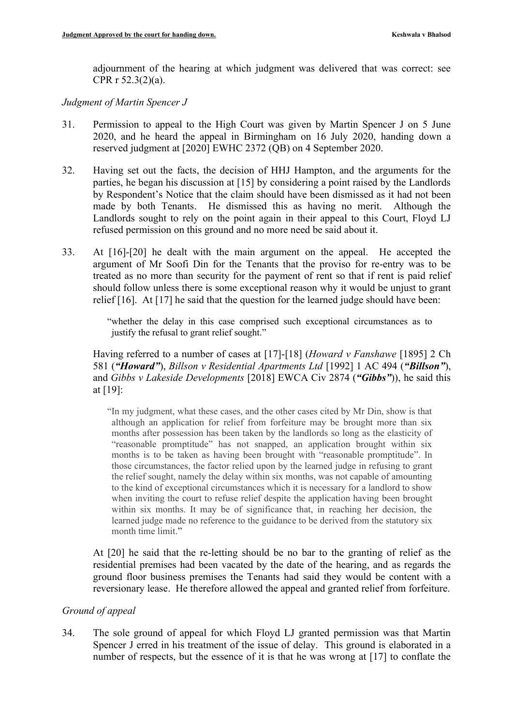adjournment of the hearing at which judgment was delivered that was correct: see CPR r 52.3(2)(a).

*Judgment of Martin Spencer J*

- 31. Permission to appeal to the High Court was given by Martin Spencer J on 5 June 2020, and he heard the appeal in Birmingham on 16 July 2020, handing down a reserved judgment at [2020] EWHC 2372 (QB) on 4 September 2020.
- 32. Having set out the facts, the decision of HHJ Hampton, and the arguments for the parties, he began his discussion at [15] by considering a point raised by the Landlords by Respondent's Notice that the claim should have been dismissed as it had not been made by both Tenants. He dismissed this as having no merit. Although the Landlords sought to rely on the point again in their appeal to this Court, Floyd LJ refused permission on this ground and no more need be said about it.
- 33. At [16]-[20] he dealt with the main argument on the appeal. He accepted the argument of Mr Soofi Din for the Tenants that the proviso for re-entry was to be treated as no more than security for the payment of rent so that if rent is paid relief should follow unless there is some exceptional reason why it would be unjust to grant relief [16]. At [17] he said that the question for the learned judge should have been:

"whether the delay in this case comprised such exceptional circumstances as to justify the refusal to grant relief sought."

Having referred to a number of cases at [17]-[18] (*Howard v Fanshawe* [1895] 2 Ch 581 (*"Howard"*), *Billson v Residential Apartments Ltd* [1992] 1 AC 494 (*"Billson"*), and *Gibbs v Lakeside Developments* [2018] EWCA Civ 2874 (*"Gibbs"*)), he said this at [19]:

"In my judgment, what these cases, and the other cases cited by Mr Din, show is that although an application for relief from forfeiture may be brought more than six months after possession has been taken by the landlords so long as the elasticity of "reasonable promptitude" has not snapped, an application brought within six months is to be taken as having been brought with "reasonable promptitude". In those circumstances, the factor relied upon by the learned judge in refusing to grant the relief sought, namely the delay within six months, was not capable of amounting to the kind of exceptional circumstances which it is necessary for a landlord to show when inviting the court to refuse relief despite the application having been brought within six months. It may be of significance that, in reaching her decision, the learned judge made no reference to the guidance to be derived from the statutory six month time limit."

At [20] he said that the re-letting should be no bar to the granting of relief as the residential premises had been vacated by the date of the hearing, and as regards the ground floor business premises the Tenants had said they would be content with a reversionary lease. He therefore allowed the appeal and granted relief from forfeiture.

# *Ground of appeal*

34. The sole ground of appeal for which Floyd LJ granted permission was that Martin Spencer J erred in his treatment of the issue of delay. This ground is elaborated in a number of respects, but the essence of it is that he was wrong at [17] to conflate the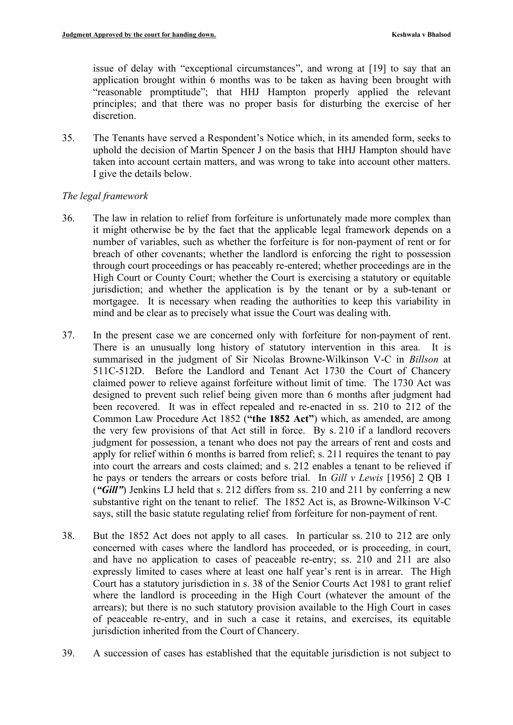issue of delay with "exceptional circumstances", and wrong at [19] to say that an application brought within 6 months was to be taken as having been brought with "reasonable promptitude"; that HHJ Hampton properly applied the relevant principles; and that there was no proper basis for disturbing the exercise of her discretion.

35. The Tenants have served a Respondent's Notice which, in its amended form, seeks to uphold the decision of Martin Spencer J on the basis that HHJ Hampton should have taken into account certain matters, and was wrong to take into account other matters. I give the details below.

# *The legal framework*

- 36. The law in relation to relief from forfeiture is unfortunately made more complex than it might otherwise be by the fact that the applicable legal framework depends on a number of variables, such as whether the forfeiture is for non-payment of rent or for breach of other covenants; whether the landlord is enforcing the right to possession through court proceedings or has peaceably re-entered; whether proceedings are in the High Court or County Court; whether the Court is exercising a statutory or equitable jurisdiction; and whether the application is by the tenant or by a sub-tenant or mortgagee. It is necessary when reading the authorities to keep this variability in mind and be clear as to precisely what issue the Court was dealing with.
- 37. In the present case we are concerned only with forfeiture for non-payment of rent. There is an unusually long history of statutory intervention in this area. It is summarised in the judgment of Sir Nicolas Browne-Wilkinson V-C in *Billson* at 511C-512D. Before the Landlord and Tenant Act 1730 the Court of Chancery claimed power to relieve against forfeiture without limit of time. The 1730 Act was designed to prevent such relief being given more than 6 months after judgment had been recovered. It was in effect repealed and re-enacted in ss. 210 to 212 of the Common Law Procedure Act 1852 (**"the 1852 Act"**) which, as amended, are among the very few provisions of that Act still in force. By s. 210 if a landlord recovers judgment for possession, a tenant who does not pay the arrears of rent and costs and apply for relief within 6 months is barred from relief; s. 211 requires the tenant to pay into court the arrears and costs claimed; and s. 212 enables a tenant to be relieved if he pays or tenders the arrears or costs before trial. In *Gill v Lewis* [1956] 2 QB 1 (*"Gill"*) Jenkins LJ held that s. 212 differs from ss. 210 and 211 by conferring a new substantive right on the tenant to relief. The 1852 Act is, as Browne-Wilkinson V-C says, still the basic statute regulating relief from forfeiture for non-payment of rent.
- 38. But the 1852 Act does not apply to all cases. In particular ss. 210 to 212 are only concerned with cases where the landlord has proceeded, or is proceeding, in court, and have no application to cases of peaceable re-entry; ss. 210 and 211 are also expressly limited to cases where at least one half year's rent is in arrear. The High Court has a statutory jurisdiction in s. 38 of the Senior Courts Act 1981 to grant relief where the landlord is proceeding in the High Court (whatever the amount of the arrears); but there is no such statutory provision available to the High Court in cases of peaceable re-entry, and in such a case it retains, and exercises, its equitable jurisdiction inherited from the Court of Chancery.
- 39. A succession of cases has established that the equitable jurisdiction is not subject to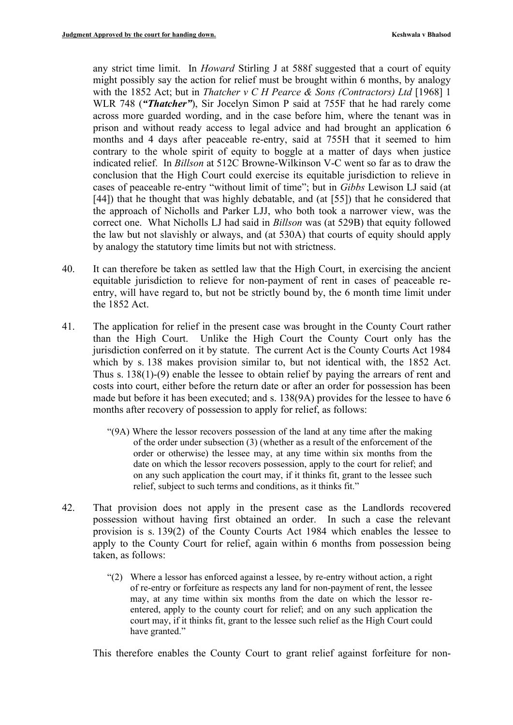any strict time limit. In *Howard* Stirling J at 588f suggested that a court of equity might possibly say the action for relief must be brought within 6 months, by analogy with the 1852 Act; but in *Thatcher v C H Pearce & Sons (Contractors) Ltd* [1968] 1 WLR 748 (*"Thatcher"*), Sir Jocelyn Simon P said at 755F that he had rarely come across more guarded wording, and in the case before him, where the tenant was in prison and without ready access to legal advice and had brought an application 6 months and 4 days after peaceable re-entry, said at 755H that it seemed to him contrary to the whole spirit of equity to boggle at a matter of days when justice indicated relief. In *Billson* at 512C Browne-Wilkinson V-C went so far as to draw the conclusion that the High Court could exercise its equitable jurisdiction to relieve in cases of peaceable re-entry "without limit of time"; but in *Gibbs* Lewison LJ said (at [44]) that he thought that was highly debatable, and (at [55]) that he considered that the approach of Nicholls and Parker LJJ, who both took a narrower view, was the correct one. What Nicholls LJ had said in *Billson* was (at 529B) that equity followed the law but not slavishly or always, and (at 530A) that courts of equity should apply by analogy the statutory time limits but not with strictness.

- 40. It can therefore be taken as settled law that the High Court, in exercising the ancient equitable jurisdiction to relieve for non-payment of rent in cases of peaceable reentry, will have regard to, but not be strictly bound by, the 6 month time limit under the 1852 Act.
- 41. The application for relief in the present case was brought in the County Court rather than the High Court. Unlike the High Court the County Court only has the jurisdiction conferred on it by statute. The current Act is the County Courts Act 1984 which by s. 138 makes provision similar to, but not identical with, the 1852 Act. Thus s. 138(1)-(9) enable the lessee to obtain relief by paying the arrears of rent and costs into court, either before the return date or after an order for possession has been made but before it has been executed; and s. 138(9A) provides for the lessee to have 6 months after recovery of possession to apply for relief, as follows:
	- "(9A) Where the lessor recovers possession of the land at any time after the making of the order under subsection (3) (whether as a result of the enforcement of the order or otherwise) the lessee may, at any time within six months from the date on which the lessor recovers possession, apply to the court for relief; and on any such application the court may, if it thinks fit, grant to the lessee such relief, subject to such terms and conditions, as it thinks fit."
- 42. That provision does not apply in the present case as the Landlords recovered possession without having first obtained an order. In such a case the relevant provision is s. 139(2) of the County Courts Act 1984 which enables the lessee to apply to the County Court for relief, again within 6 months from possession being taken, as follows:
	- "(2) Where a lessor has enforced against a lessee, by re-entry without action, a right of re-entry or forfeiture as respects any land for non-payment of rent, the lessee may, at any time within six months from the date on which the lessor reentered, apply to the county court for relief; and on any such application the court may, if it thinks fit, grant to the lessee such relief as the High Court could have granted."

This therefore enables the County Court to grant relief against forfeiture for non-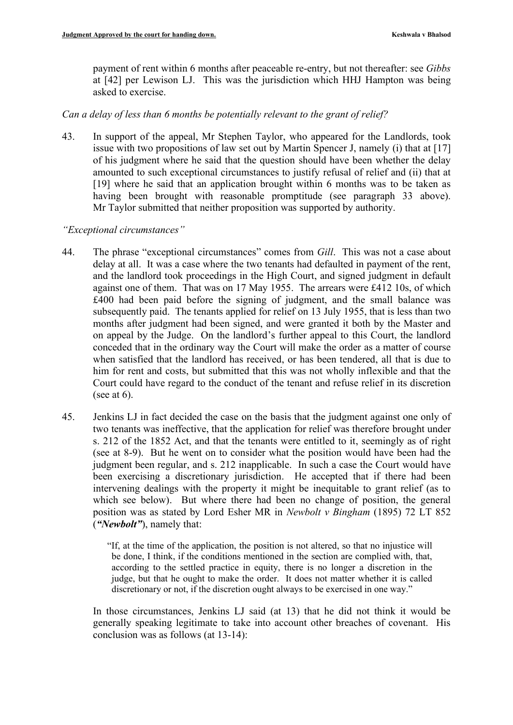payment of rent within 6 months after peaceable re-entry, but not thereafter: see *Gibbs*  at [42] per Lewison LJ. This was the jurisdiction which HHJ Hampton was being asked to exercise.

*Can a delay of less than 6 months be potentially relevant to the grant of relief?*

43. In support of the appeal, Mr Stephen Taylor, who appeared for the Landlords, took issue with two propositions of law set out by Martin Spencer J, namely (i) that at [17] of his judgment where he said that the question should have been whether the delay amounted to such exceptional circumstances to justify refusal of relief and (ii) that at [19] where he said that an application brought within 6 months was to be taken as having been brought with reasonable promptitude (see paragraph 33 above). Mr Taylor submitted that neither proposition was supported by authority.

*"Exceptional circumstances"*

- 44. The phrase "exceptional circumstances" comes from *Gill*. This was not a case about delay at all. It was a case where the two tenants had defaulted in payment of the rent, and the landlord took proceedings in the High Court, and signed judgment in default against one of them. That was on 17 May 1955. The arrears were £412 10s, of which £400 had been paid before the signing of judgment, and the small balance was subsequently paid. The tenants applied for relief on 13 July 1955, that is less than two months after judgment had been signed, and were granted it both by the Master and on appeal by the Judge. On the landlord's further appeal to this Court, the landlord conceded that in the ordinary way the Court will make the order as a matter of course when satisfied that the landlord has received, or has been tendered, all that is due to him for rent and costs, but submitted that this was not wholly inflexible and that the Court could have regard to the conduct of the tenant and refuse relief in its discretion (see at  $6$ ).
- 45. Jenkins LJ in fact decided the case on the basis that the judgment against one only of two tenants was ineffective, that the application for relief was therefore brought under s. 212 of the 1852 Act, and that the tenants were entitled to it, seemingly as of right (see at 8-9). But he went on to consider what the position would have been had the judgment been regular, and s. 212 inapplicable. In such a case the Court would have been exercising a discretionary jurisdiction. He accepted that if there had been intervening dealings with the property it might be inequitable to grant relief (as to which see below). But where there had been no change of position, the general position was as stated by Lord Esher MR in *Newbolt v Bingham* (1895) 72 LT 852 (*"Newbolt"*), namely that:

"If, at the time of the application, the position is not altered, so that no injustice will be done, I think, if the conditions mentioned in the section are complied with, that, according to the settled practice in equity, there is no longer a discretion in the judge, but that he ought to make the order. It does not matter whether it is called discretionary or not, if the discretion ought always to be exercised in one way."

In those circumstances, Jenkins LJ said (at 13) that he did not think it would be generally speaking legitimate to take into account other breaches of covenant. His conclusion was as follows (at 13-14):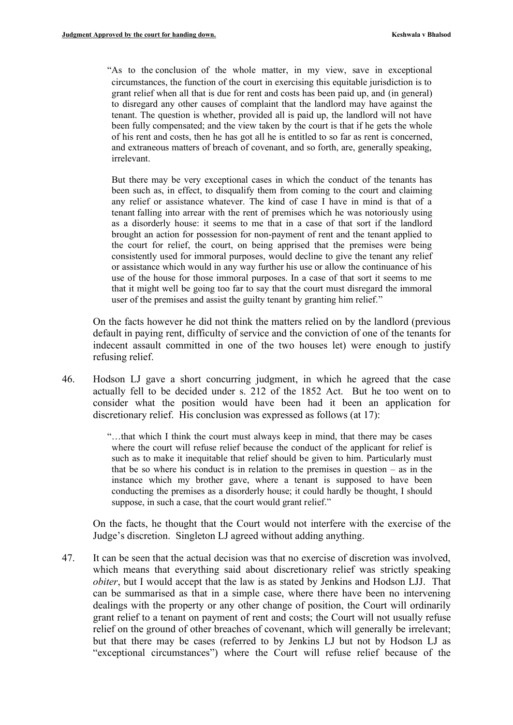"As to the conclusion of the whole matter, in my view, save in exceptional circumstances, the function of the court in exercising this equitable jurisdiction is to grant relief when all that is due for rent and costs has been paid up, and (in general) to disregard any other causes of complaint that the landlord may have against the tenant. The question is whether, provided all is paid up, the landlord will not have been fully compensated; and the view taken by the court is that if he gets the whole of his rent and costs, then he has got all he is entitled to so far as rent is concerned, and extraneous matters of breach of covenant, and so forth, are, generally speaking, irrelevant.

But there may be very exceptional cases in which the conduct of the tenants has been such as, in effect, to disqualify them from coming to the court and claiming any relief or assistance whatever. The kind of case I have in mind is that of a tenant falling into arrear with the rent of premises which he was notoriously using as a disorderly house: it seems to me that in a case of that sort if the landlord brought an action for possession for non-payment of rent and the tenant applied to the court for relief, the court, on being apprised that the premises were being consistently used for immoral purposes, would decline to give the tenant any relief or assistance which would in any way further his use or allow the continuance of his use of the house for those immoral purposes. In a case of that sort it seems to me that it might well be going too far to say that the court must disregard the immoral user of the premises and assist the guilty tenant by granting him relief."

On the facts however he did not think the matters relied on by the landlord (previous default in paying rent, difficulty of service and the conviction of one of the tenants for indecent assault committed in one of the two houses let) were enough to justify refusing relief.

46. Hodson LJ gave a short concurring judgment, in which he agreed that the case actually fell to be decided under s. 212 of the 1852 Act. But he too went on to consider what the position would have been had it been an application for discretionary relief. His conclusion was expressed as follows (at 17):

> "…that which I think the court must always keep in mind, that there may be cases where the court will refuse relief because the conduct of the applicant for relief is such as to make it inequitable that relief should be given to him. Particularly must that be so where his conduct is in relation to the premises in question  $-$  as in the instance which my brother gave, where a tenant is supposed to have been conducting the premises as a disorderly house; it could hardly be thought, I should suppose, in such a case, that the court would grant relief."

On the facts, he thought that the Court would not interfere with the exercise of the Judge's discretion. Singleton LJ agreed without adding anything.

47. It can be seen that the actual decision was that no exercise of discretion was involved, which means that everything said about discretionary relief was strictly speaking *obiter*, but I would accept that the law is as stated by Jenkins and Hodson LJJ. That can be summarised as that in a simple case, where there have been no intervening dealings with the property or any other change of position, the Court will ordinarily grant relief to a tenant on payment of rent and costs; the Court will not usually refuse relief on the ground of other breaches of covenant, which will generally be irrelevant; but that there may be cases (referred to by Jenkins LJ but not by Hodson LJ as "exceptional circumstances") where the Court will refuse relief because of the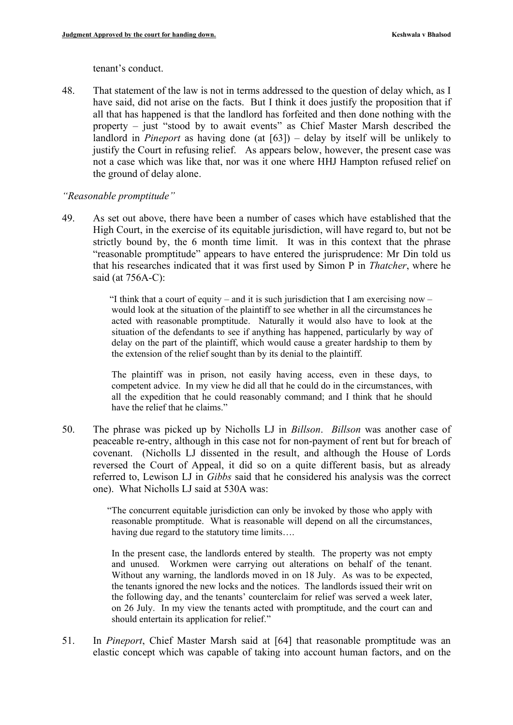tenant's conduct.

48. That statement of the law is not in terms addressed to the question of delay which, as I have said, did not arise on the facts. But I think it does justify the proposition that if all that has happened is that the landlord has forfeited and then done nothing with the property – just "stood by to await events" as Chief Master Marsh described the landlord in *Pineport* as having done (at [63]) – delay by itself will be unlikely to justify the Court in refusing relief. As appears below, however, the present case was not a case which was like that, nor was it one where HHJ Hampton refused relief on the ground of delay alone.

#### *"Reasonable promptitude"*

49. As set out above, there have been a number of cases which have established that the High Court, in the exercise of its equitable jurisdiction, will have regard to, but not be strictly bound by, the 6 month time limit. It was in this context that the phrase "reasonable promptitude" appears to have entered the jurisprudence: Mr Din told us that his researches indicated that it was first used by Simon P in *Thatcher*, where he said (at 756A-C):

> "I think that a court of equity – and it is such jurisdiction that I am exercising now – would look at the situation of the plaintiff to see whether in all the circumstances he acted with reasonable promptitude. Naturally it would also have to look at the situation of the defendants to see if anything has happened, particularly by way of delay on the part of the plaintiff, which would cause a greater hardship to them by the extension of the relief sought than by its denial to the plaintiff.

> The plaintiff was in prison, not easily having access, even in these days, to competent advice. In my view he did all that he could do in the circumstances, with all the expedition that he could reasonably command; and I think that he should have the relief that he claims."

50. The phrase was picked up by Nicholls LJ in *Billson*. *Billson* was another case of peaceable re-entry, although in this case not for non-payment of rent but for breach of covenant. (Nicholls LJ dissented in the result, and although the House of Lords reversed the Court of Appeal, it did so on a quite different basis, but as already referred to, Lewison LJ in *Gibbs* said that he considered his analysis was the correct one). What Nicholls LJ said at 530A was:

> "The concurrent equitable jurisdiction can only be invoked by those who apply with reasonable promptitude. What is reasonable will depend on all the circumstances, having due regard to the statutory time limits….

> In the present case, the landlords entered by stealth. The property was not empty and unused. Workmen were carrying out alterations on behalf of the tenant. Without any warning, the landlords moved in on 18 July. As was to be expected, the tenants ignored the new locks and the notices. The landlords issued their writ on the following day, and the tenants' counterclaim for relief was served a week later, on 26 July. In my view the tenants acted with promptitude, and the court can and should entertain its application for relief."

51. In *Pineport*, Chief Master Marsh said at [64] that reasonable promptitude was an elastic concept which was capable of taking into account human factors, and on the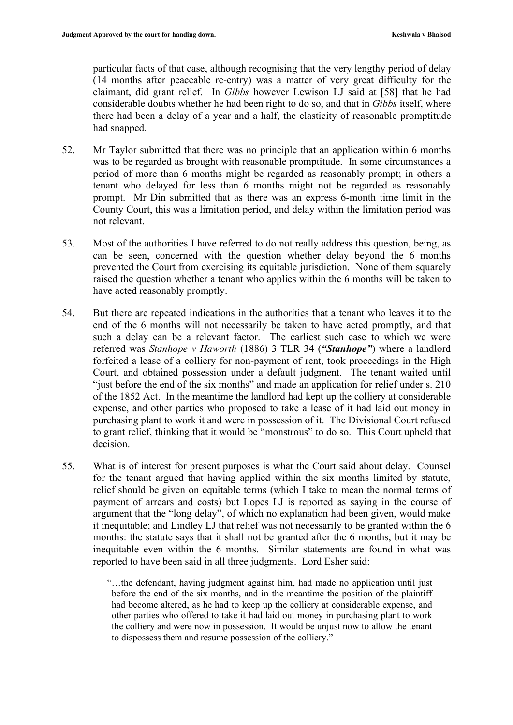particular facts of that case, although recognising that the very lengthy period of delay (14 months after peaceable re-entry) was a matter of very great difficulty for the claimant, did grant relief. In *Gibbs* however Lewison LJ said at [58] that he had considerable doubts whether he had been right to do so, and that in *Gibbs* itself, where there had been a delay of a year and a half, the elasticity of reasonable promptitude had snapped.

- 52. Mr Taylor submitted that there was no principle that an application within 6 months was to be regarded as brought with reasonable promptitude. In some circumstances a period of more than 6 months might be regarded as reasonably prompt; in others a tenant who delayed for less than 6 months might not be regarded as reasonably prompt. Mr Din submitted that as there was an express 6-month time limit in the County Court, this was a limitation period, and delay within the limitation period was not relevant.
- 53. Most of the authorities I have referred to do not really address this question, being, as can be seen, concerned with the question whether delay beyond the 6 months prevented the Court from exercising its equitable jurisdiction. None of them squarely raised the question whether a tenant who applies within the 6 months will be taken to have acted reasonably promptly.
- 54. But there are repeated indications in the authorities that a tenant who leaves it to the end of the 6 months will not necessarily be taken to have acted promptly, and that such a delay can be a relevant factor. The earliest such case to which we were referred was *Stanhope v Haworth* (1886) 3 TLR 34 (*"Stanhope"*) where a landlord forfeited a lease of a colliery for non-payment of rent, took proceedings in the High Court, and obtained possession under a default judgment. The tenant waited until "just before the end of the six months" and made an application for relief under s. 210 of the 1852 Act. In the meantime the landlord had kept up the colliery at considerable expense, and other parties who proposed to take a lease of it had laid out money in purchasing plant to work it and were in possession of it. The Divisional Court refused to grant relief, thinking that it would be "monstrous" to do so. This Court upheld that decision.
- 55. What is of interest for present purposes is what the Court said about delay. Counsel for the tenant argued that having applied within the six months limited by statute, relief should be given on equitable terms (which I take to mean the normal terms of payment of arrears and costs) but Lopes LJ is reported as saying in the course of argument that the "long delay", of which no explanation had been given, would make it inequitable; and Lindley LJ that relief was not necessarily to be granted within the 6 months: the statute says that it shall not be granted after the 6 months, but it may be inequitable even within the 6 months. Similar statements are found in what was reported to have been said in all three judgments. Lord Esher said:

<sup>&</sup>quot;…the defendant, having judgment against him, had made no application until just before the end of the six months, and in the meantime the position of the plaintiff had become altered, as he had to keep up the colliery at considerable expense, and other parties who offered to take it had laid out money in purchasing plant to work the colliery and were now in possession. It would be unjust now to allow the tenant to dispossess them and resume possession of the colliery."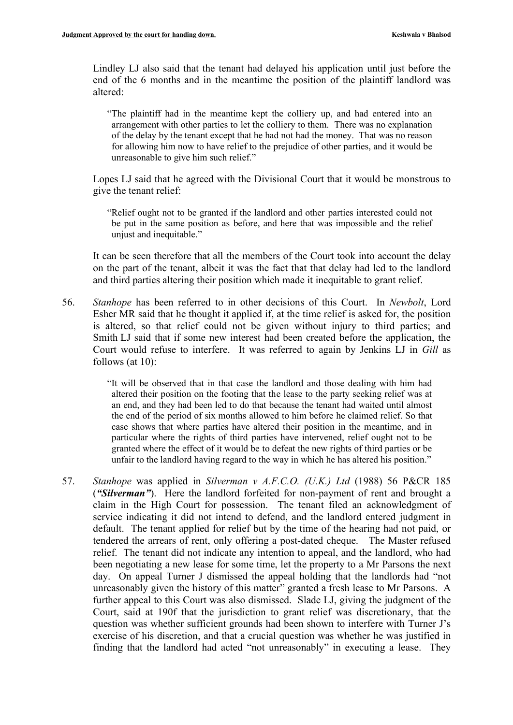Lindley LJ also said that the tenant had delayed his application until just before the end of the 6 months and in the meantime the position of the plaintiff landlord was altered:

"The plaintiff had in the meantime kept the colliery up, and had entered into an arrangement with other parties to let the colliery to them. There was no explanation of the delay by the tenant except that he had not had the money. That was no reason for allowing him now to have relief to the prejudice of other parties, and it would be unreasonable to give him such relief."

Lopes LJ said that he agreed with the Divisional Court that it would be monstrous to give the tenant relief:

"Relief ought not to be granted if the landlord and other parties interested could not be put in the same position as before, and here that was impossible and the relief unjust and inequitable."

It can be seen therefore that all the members of the Court took into account the delay on the part of the tenant, albeit it was the fact that that delay had led to the landlord and third parties altering their position which made it inequitable to grant relief.

56. *Stanhope* has been referred to in other decisions of this Court. In *Newbolt*, Lord Esher MR said that he thought it applied if, at the time relief is asked for, the position is altered, so that relief could not be given without injury to third parties; and Smith LJ said that if some new interest had been created before the application, the Court would refuse to interfere. It was referred to again by Jenkins LJ in *Gill* as follows (at 10):

> "It will be observed that in that case the landlord and those dealing with him had altered their position on the footing that the lease to the party seeking relief was at an end, and they had been led to do that because the tenant had waited until almost the end of the period of six months allowed to him before he claimed relief. So that case shows that where parties have altered their position in the meantime, and in particular where the rights of third parties have intervened, relief ought not to be granted where the effect of it would be to defeat the new rights of third parties or be unfair to the landlord having regard to the way in which he has altered his position."

57. *Stanhope* was applied in *Silverman v A.F.C.O. (U.K.) Ltd* (1988) 56 P&CR 185 (*"Silverman"*). Here the landlord forfeited for non-payment of rent and brought a claim in the High Court for possession. The tenant filed an acknowledgment of service indicating it did not intend to defend, and the landlord entered judgment in default. The tenant applied for relief but by the time of the hearing had not paid, or tendered the arrears of rent, only offering a post-dated cheque. The Master refused relief. The tenant did not indicate any intention to appeal, and the landlord, who had been negotiating a new lease for some time, let the property to a Mr Parsons the next day. On appeal Turner J dismissed the appeal holding that the landlords had "not unreasonably given the history of this matter" granted a fresh lease to Mr Parsons. A further appeal to this Court was also dismissed. Slade LJ, giving the judgment of the Court, said at 190f that the jurisdiction to grant relief was discretionary, that the question was whether sufficient grounds had been shown to interfere with Turner J's exercise of his discretion, and that a crucial question was whether he was justified in finding that the landlord had acted "not unreasonably" in executing a lease. They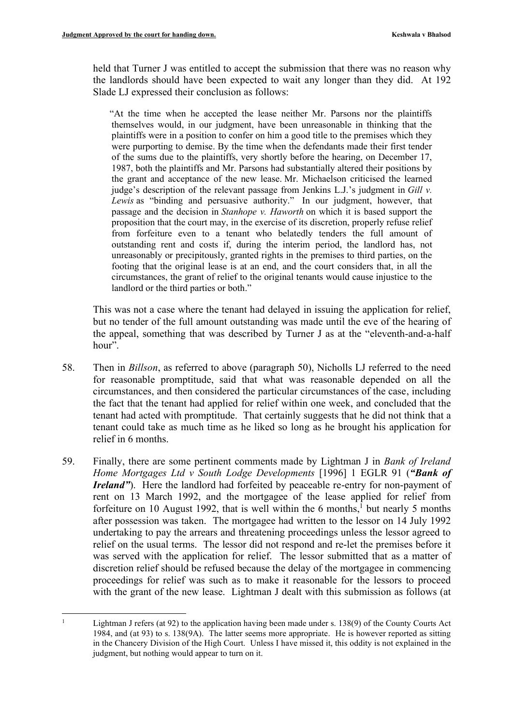held that Turner J was entitled to accept the submission that there was no reason why the landlords should have been expected to wait any longer than they did. At 192 Slade LJ expressed their conclusion as follows:

"At the time when he accepted the lease neither Mr. Parsons nor the plaintiffs themselves would, in our judgment, have been unreasonable in thinking that the plaintiffs were in a position to confer on him a good title to the premises which they were purporting to demise. By the time when the defendants made their first tender of the sums due to the plaintiffs, very shortly before the hearing, on December 17, 1987, both the plaintiffs and Mr. Parsons had substantially altered their positions by the grant and acceptance of the new lease. Mr. Michaelson criticised the learned judge's description of the relevant passage from Jenkins L.J.'s judgment in *Gill v. Lewis* as "binding and persuasive authority." In our judgment, however, that passage and the decision in *Stanhope v. Haworth* on which it is based support the proposition that the court may, in the exercise of its discretion, properly refuse relief from forfeiture even to a tenant who belatedly tenders the full amount of outstanding rent and costs if, during the interim period, the landlord has, not unreasonably or precipitously, granted rights in the premises to third parties, on the footing that the original lease is at an end, and the court considers that, in all the circumstances, the grant of relief to the original tenants would cause injustice to the landlord or the third parties or both."

This was not a case where the tenant had delayed in issuing the application for relief, but no tender of the full amount outstanding was made until the eve of the hearing of the appeal, something that was described by Turner J as at the "eleventh-and-a-half hour".

- 58. Then in *Billson*, as referred to above (paragraph 50), Nicholls LJ referred to the need for reasonable promptitude, said that what was reasonable depended on all the circumstances, and then considered the particular circumstances of the case, including the fact that the tenant had applied for relief within one week, and concluded that the tenant had acted with promptitude. That certainly suggests that he did not think that a tenant could take as much time as he liked so long as he brought his application for relief in 6 months.
- 59. Finally, there are some pertinent comments made by Lightman J in *Bank of Ireland Home Mortgages Ltd v South Lodge Developments* [1996] 1 EGLR 91 (*"Bank of Ireland*<sup>"</sup>). Here the landlord had forfeited by peaceable re-entry for non-payment of rent on 13 March 1992, and the mortgagee of the lease applied for relief from forfeiture on 10 August 1992, that is well within the 6 months,<sup>1</sup> but nearly 5 months after possession was taken. The mortgagee had written to the lessor on 14 July 1992 undertaking to pay the arrears and threatening proceedings unless the lessor agreed to relief on the usual terms. The lessor did not respond and re-let the premises before it was served with the application for relief. The lessor submitted that as a matter of discretion relief should be refused because the delay of the mortgagee in commencing proceedings for relief was such as to make it reasonable for the lessors to proceed with the grant of the new lease. Lightman J dealt with this submission as follows (at

<sup>1</sup> Lightman J refers (at 92) to the application having been made under s. 138(9) of the County Courts Act 1984, and (at 93) to s. 138(9A). The latter seems more appropriate. He is however reported as sitting in the Chancery Division of the High Court. Unless I have missed it, this oddity is not explained in the judgment, but nothing would appear to turn on it.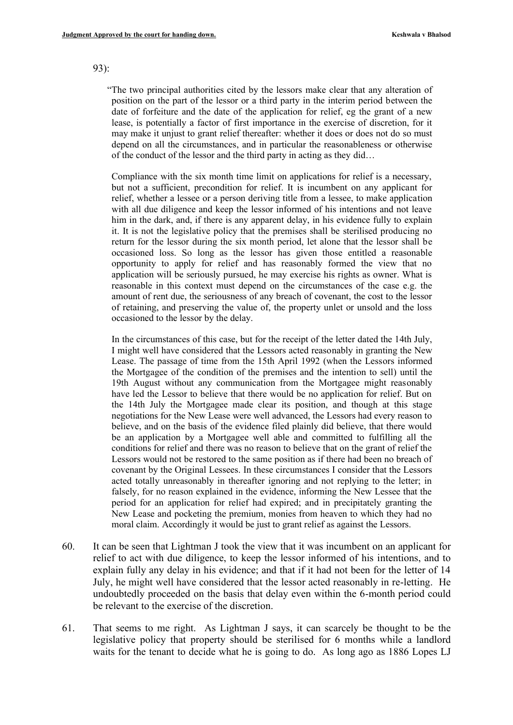#### 93):

"The two principal authorities cited by the lessors make clear that any alteration of position on the part of the lessor or a third party in the interim period between the date of forfeiture and the date of the application for relief, eg the grant of a new lease, is potentially a factor of first importance in the exercise of discretion, for it may make it unjust to grant relief thereafter: whether it does or does not do so must depend on all the circumstances, and in particular the reasonableness or otherwise of the conduct of the lessor and the third party in acting as they did…

Compliance with the six month time limit on applications for relief is a necessary, but not a sufficient, precondition for relief. It is incumbent on any applicant for relief, whether a lessee or a person deriving title from a lessee, to make application with all due diligence and keep the lessor informed of his intentions and not leave him in the dark, and, if there is any apparent delay, in his evidence fully to explain it. It is not the legislative policy that the premises shall be sterilised producing no return for the lessor during the six month period, let alone that the lessor shall be occasioned loss. So long as the lessor has given those entitled a reasonable opportunity to apply for relief and has reasonably formed the view that no application will be seriously pursued, he may exercise his rights as owner. What is reasonable in this context must depend on the circumstances of the case e.g. the amount of rent due, the seriousness of any breach of covenant, the cost to the lessor of retaining, and preserving the value of, the property unlet or unsold and the loss occasioned to the lessor by the delay.

In the circumstances of this case, but for the receipt of the letter dated the 14th July, I might well have considered that the Lessors acted reasonably in granting the New Lease. The passage of time from the 15th April 1992 (when the Lessors informed the Mortgagee of the condition of the premises and the intention to sell) until the 19th August without any communication from the Mortgagee might reasonably have led the Lessor to believe that there would be no application for relief. But on the 14th July the Mortgagee made clear its position, and though at this stage negotiations for the New Lease were well advanced, the Lessors had every reason to believe, and on the basis of the evidence filed plainly did believe, that there would be an application by a Mortgagee well able and committed to fulfilling all the conditions for relief and there was no reason to believe that on the grant of relief the Lessors would not be restored to the same position as if there had been no breach of covenant by the Original Lessees. In these circumstances I consider that the Lessors acted totally unreasonably in thereafter ignoring and not replying to the letter; in falsely, for no reason explained in the evidence, informing the New Lessee that the period for an application for relief had expired; and in precipitately granting the New Lease and pocketing the premium, monies from heaven to which they had no moral claim. Accordingly it would be just to grant relief as against the Lessors.

- 60. It can be seen that Lightman J took the view that it was incumbent on an applicant for relief to act with due diligence, to keep the lessor informed of his intentions, and to explain fully any delay in his evidence; and that if it had not been for the letter of 14 July, he might well have considered that the lessor acted reasonably in re-letting. He undoubtedly proceeded on the basis that delay even within the 6-month period could be relevant to the exercise of the discretion.
- 61. That seems to me right. As Lightman J says, it can scarcely be thought to be the legislative policy that property should be sterilised for 6 months while a landlord waits for the tenant to decide what he is going to do. As long ago as 1886 Lopes LJ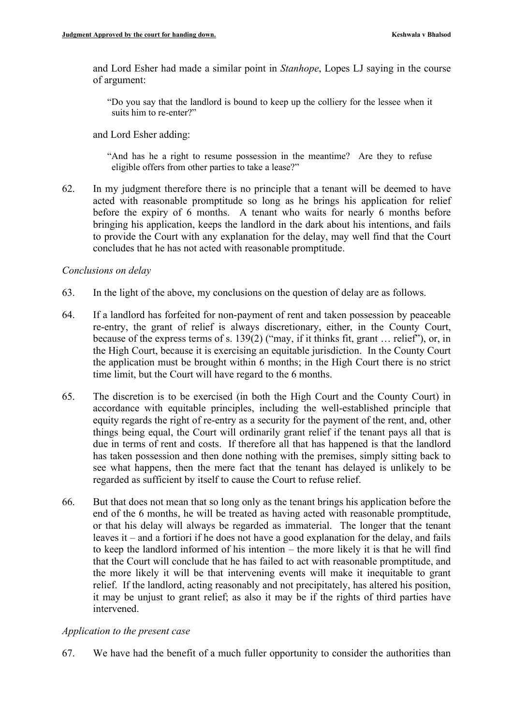and Lord Esher had made a similar point in *Stanhope*, Lopes LJ saying in the course of argument:

"Do you say that the landlord is bound to keep up the colliery for the lessee when it suits him to re-enter?"

and Lord Esher adding:

"And has he a right to resume possession in the meantime? Are they to refuse eligible offers from other parties to take a lease?"

62. In my judgment therefore there is no principle that a tenant will be deemed to have acted with reasonable promptitude so long as he brings his application for relief before the expiry of 6 months. A tenant who waits for nearly 6 months before bringing his application, keeps the landlord in the dark about his intentions, and fails to provide the Court with any explanation for the delay, may well find that the Court concludes that he has not acted with reasonable promptitude.

# *Conclusions on delay*

- 63. In the light of the above, my conclusions on the question of delay are as follows.
- 64. If a landlord has forfeited for non-payment of rent and taken possession by peaceable re-entry, the grant of relief is always discretionary, either, in the County Court, because of the express terms of s. 139(2) ("may, if it thinks fit, grant … relief"), or, in the High Court, because it is exercising an equitable jurisdiction. In the County Court the application must be brought within 6 months; in the High Court there is no strict time limit, but the Court will have regard to the 6 months.
- 65. The discretion is to be exercised (in both the High Court and the County Court) in accordance with equitable principles, including the well-established principle that equity regards the right of re-entry as a security for the payment of the rent, and, other things being equal, the Court will ordinarily grant relief if the tenant pays all that is due in terms of rent and costs. If therefore all that has happened is that the landlord has taken possession and then done nothing with the premises, simply sitting back to see what happens, then the mere fact that the tenant has delayed is unlikely to be regarded as sufficient by itself to cause the Court to refuse relief.
- 66. But that does not mean that so long only as the tenant brings his application before the end of the 6 months, he will be treated as having acted with reasonable promptitude, or that his delay will always be regarded as immaterial. The longer that the tenant leaves it – and a fortiori if he does not have a good explanation for the delay, and fails to keep the landlord informed of his intention – the more likely it is that he will find that the Court will conclude that he has failed to act with reasonable promptitude, and the more likely it will be that intervening events will make it inequitable to grant relief. If the landlord, acting reasonably and not precipitately, has altered his position, it may be unjust to grant relief; as also it may be if the rights of third parties have intervened.

# *Application to the present case*

67. We have had the benefit of a much fuller opportunity to consider the authorities than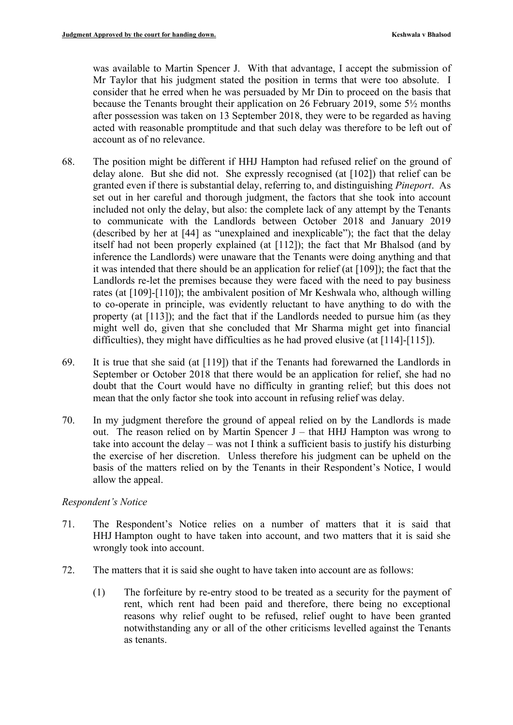was available to Martin Spencer J. With that advantage, I accept the submission of Mr Taylor that his judgment stated the position in terms that were too absolute. I consider that he erred when he was persuaded by Mr Din to proceed on the basis that because the Tenants brought their application on 26 February 2019, some 5½ months after possession was taken on 13 September 2018, they were to be regarded as having acted with reasonable promptitude and that such delay was therefore to be left out of account as of no relevance.

- 68. The position might be different if HHJ Hampton had refused relief on the ground of delay alone. But she did not. She expressly recognised (at [102]) that relief can be granted even if there is substantial delay, referring to, and distinguishing *Pineport*. As set out in her careful and thorough judgment, the factors that she took into account included not only the delay, but also: the complete lack of any attempt by the Tenants to communicate with the Landlords between October 2018 and January 2019 (described by her at [44] as "unexplained and inexplicable"); the fact that the delay itself had not been properly explained (at [112]); the fact that Mr Bhalsod (and by inference the Landlords) were unaware that the Tenants were doing anything and that it was intended that there should be an application for relief (at [109]); the fact that the Landlords re-let the premises because they were faced with the need to pay business rates (at [109]-[110]); the ambivalent position of Mr Keshwala who, although willing to co-operate in principle, was evidently reluctant to have anything to do with the property (at [113]); and the fact that if the Landlords needed to pursue him (as they might well do, given that she concluded that Mr Sharma might get into financial difficulties), they might have difficulties as he had proved elusive (at [114]-[115]).
- 69. It is true that she said (at [119]) that if the Tenants had forewarned the Landlords in September or October 2018 that there would be an application for relief, she had no doubt that the Court would have no difficulty in granting relief; but this does not mean that the only factor she took into account in refusing relief was delay.
- 70. In my judgment therefore the ground of appeal relied on by the Landlords is made out. The reason relied on by Martin Spencer J – that HHJ Hampton was wrong to take into account the delay – was not I think a sufficient basis to justify his disturbing the exercise of her discretion. Unless therefore his judgment can be upheld on the basis of the matters relied on by the Tenants in their Respondent's Notice, I would allow the appeal.

#### *Respondent's Notice*

- 71. The Respondent's Notice relies on a number of matters that it is said that HHJ Hampton ought to have taken into account, and two matters that it is said she wrongly took into account.
- 72. The matters that it is said she ought to have taken into account are as follows:
	- (1) The forfeiture by re-entry stood to be treated as a security for the payment of rent, which rent had been paid and therefore, there being no exceptional reasons why relief ought to be refused, relief ought to have been granted notwithstanding any or all of the other criticisms levelled against the Tenants as tenants.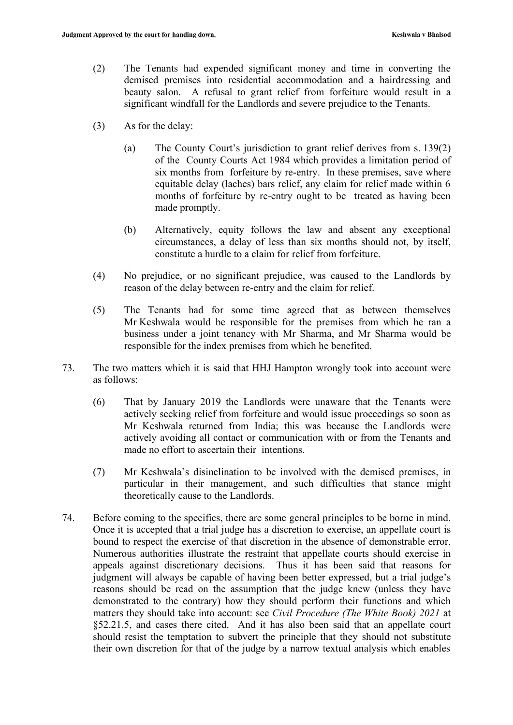- (2) The Tenants had expended significant money and time in converting the demised premises into residential accommodation and a hairdressing and beauty salon. A refusal to grant relief from forfeiture would result in a significant windfall for the Landlords and severe prejudice to the Tenants.
- (3) As for the delay:
	- (a) The County Court's jurisdiction to grant relief derives from s. 139(2) of the County Courts Act 1984 which provides a limitation period of six months from forfeiture by re-entry. In these premises, save where equitable delay (laches) bars relief, any claim for relief made within 6 months of forfeiture by re-entry ought to be treated as having been made promptly.
	- (b) Alternatively, equity follows the law and absent any exceptional circumstances, a delay of less than six months should not, by itself, constitute a hurdle to a claim for relief from forfeiture.
- (4) No prejudice, or no significant prejudice, was caused to the Landlords by reason of the delay between re-entry and the claim for relief.
- (5) The Tenants had for some time agreed that as between themselves Mr Keshwala would be responsible for the premises from which he ran a business under a joint tenancy with Mr Sharma, and Mr Sharma would be responsible for the index premises from which he benefited.
- 73. The two matters which it is said that HHJ Hampton wrongly took into account were as follows:
	- (6) That by January 2019 the Landlords were unaware that the Tenants were actively seeking relief from forfeiture and would issue proceedings so soon as Mr Keshwala returned from India; this was because the Landlords were actively avoiding all contact or communication with or from the Tenants and made no effort to ascertain their intentions.
	- (7) Mr Keshwala's disinclination to be involved with the demised premises, in particular in their management, and such difficulties that stance might theoretically cause to the Landlords.
- 74. Before coming to the specifics, there are some general principles to be borne in mind. Once it is accepted that a trial judge has a discretion to exercise, an appellate court is bound to respect the exercise of that discretion in the absence of demonstrable error. Numerous authorities illustrate the restraint that appellate courts should exercise in appeals against discretionary decisions. Thus it has been said that reasons for judgment will always be capable of having been better expressed, but a trial judge's reasons should be read on the assumption that the judge knew (unless they have demonstrated to the contrary) how they should perform their functions and which matters they should take into account: see *Civil Procedure (The White Book) 2021* at §52.21.5, and cases there cited. And it has also been said that an appellate court should resist the temptation to subvert the principle that they should not substitute their own discretion for that of the judge by a narrow textual analysis which enables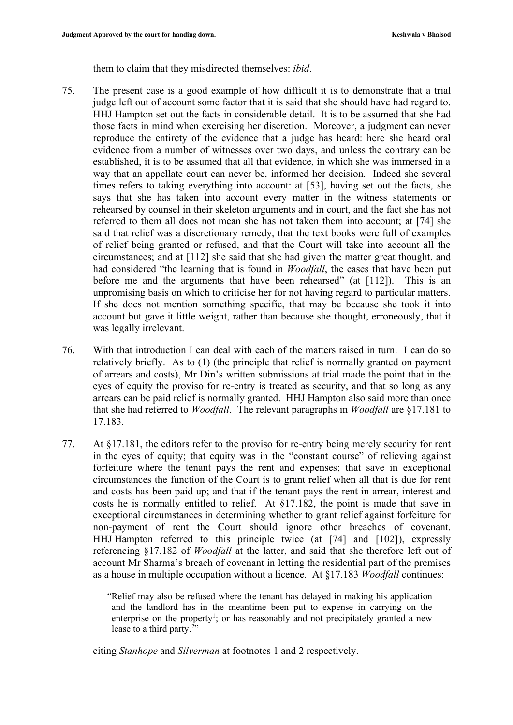them to claim that they misdirected themselves: *ibid*.

- 75. The present case is a good example of how difficult it is to demonstrate that a trial judge left out of account some factor that it is said that she should have had regard to. HHJ Hampton set out the facts in considerable detail. It is to be assumed that she had those facts in mind when exercising her discretion. Moreover, a judgment can never reproduce the entirety of the evidence that a judge has heard: here she heard oral evidence from a number of witnesses over two days, and unless the contrary can be established, it is to be assumed that all that evidence, in which she was immersed in a way that an appellate court can never be, informed her decision. Indeed she several times refers to taking everything into account: at [53], having set out the facts, she says that she has taken into account every matter in the witness statements or rehearsed by counsel in their skeleton arguments and in court, and the fact she has not referred to them all does not mean she has not taken them into account; at [74] she said that relief was a discretionary remedy, that the text books were full of examples of relief being granted or refused, and that the Court will take into account all the circumstances; and at [112] she said that she had given the matter great thought, and had considered "the learning that is found in *Woodfall*, the cases that have been put before me and the arguments that have been rehearsed" (at [112]). This is an unpromising basis on which to criticise her for not having regard to particular matters. If she does not mention something specific, that may be because she took it into account but gave it little weight, rather than because she thought, erroneously, that it was legally irrelevant.
- 76. With that introduction I can deal with each of the matters raised in turn. I can do so relatively briefly. As to (1) (the principle that relief is normally granted on payment of arrears and costs), Mr Din's written submissions at trial made the point that in the eyes of equity the proviso for re-entry is treated as security, and that so long as any arrears can be paid relief is normally granted. HHJ Hampton also said more than once that she had referred to *Woodfall*. The relevant paragraphs in *Woodfall* are §17.181 to 17.183.
- 77. At §17.181, the editors refer to the proviso for re-entry being merely security for rent in the eyes of equity; that equity was in the "constant course" of relieving against forfeiture where the tenant pays the rent and expenses; that save in exceptional circumstances the function of the Court is to grant relief when all that is due for rent and costs has been paid up; and that if the tenant pays the rent in arrear, interest and costs he is normally entitled to relief. At §17.182, the point is made that save in exceptional circumstances in determining whether to grant relief against forfeiture for non-payment of rent the Court should ignore other breaches of covenant. HHJ Hampton referred to this principle twice (at [74] and [102]), expressly referencing §17.182 of *Woodfall* at the latter, and said that she therefore left out of account Mr Sharma's breach of covenant in letting the residential part of the premises as a house in multiple occupation without a licence. At §17.183 *Woodfall* continues:

"Relief may also be refused where the tenant has delayed in making his application and the landlord has in the meantime been put to expense in carrying on the enterprise on the property<sup>1</sup>; or has reasonably and not precipitately granted a new lease to a third party.<sup>2</sup>"

citing *Stanhope* and *Silverman* at footnotes 1 and 2 respectively.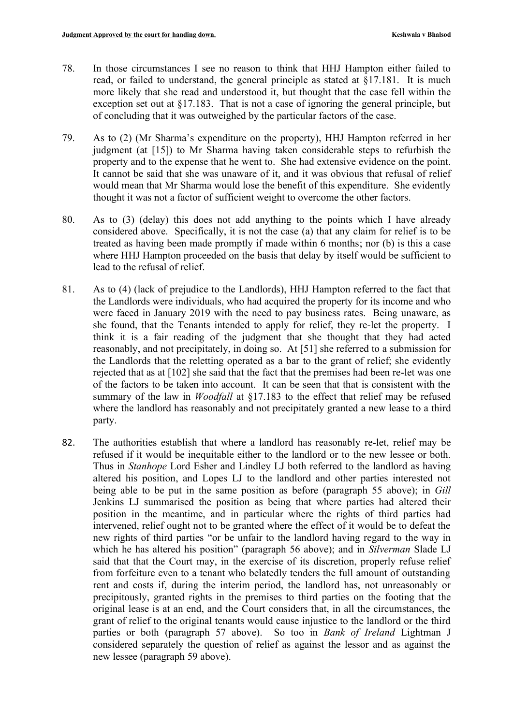- 78. In those circumstances I see no reason to think that HHJ Hampton either failed to read, or failed to understand, the general principle as stated at §17.181. It is much more likely that she read and understood it, but thought that the case fell within the exception set out at §17.183. That is not a case of ignoring the general principle, but of concluding that it was outweighed by the particular factors of the case.
- 79. As to (2) (Mr Sharma's expenditure on the property), HHJ Hampton referred in her judgment (at [15]) to Mr Sharma having taken considerable steps to refurbish the property and to the expense that he went to. She had extensive evidence on the point. It cannot be said that she was unaware of it, and it was obvious that refusal of relief would mean that Mr Sharma would lose the benefit of this expenditure. She evidently thought it was not a factor of sufficient weight to overcome the other factors.
- 80. As to (3) (delay) this does not add anything to the points which I have already considered above. Specifically, it is not the case (a) that any claim for relief is to be treated as having been made promptly if made within 6 months; nor (b) is this a case where HHJ Hampton proceeded on the basis that delay by itself would be sufficient to lead to the refusal of relief.
- 81. As to (4) (lack of prejudice to the Landlords), HHJ Hampton referred to the fact that the Landlords were individuals, who had acquired the property for its income and who were faced in January 2019 with the need to pay business rates. Being unaware, as she found, that the Tenants intended to apply for relief, they re-let the property. I think it is a fair reading of the judgment that she thought that they had acted reasonably, and not precipitately, in doing so. At [51] she referred to a submission for the Landlords that the reletting operated as a bar to the grant of relief; she evidently rejected that as at [102] she said that the fact that the premises had been re-let was one of the factors to be taken into account. It can be seen that that is consistent with the summary of the law in *Woodfall* at §17.183 to the effect that relief may be refused where the landlord has reasonably and not precipitately granted a new lease to a third party.
- 82. The authorities establish that where a landlord has reasonably re-let, relief may be refused if it would be inequitable either to the landlord or to the new lessee or both. Thus in *Stanhope* Lord Esher and Lindley LJ both referred to the landlord as having altered his position, and Lopes LJ to the landlord and other parties interested not being able to be put in the same position as before (paragraph 55 above); in *Gill*  Jenkins LJ summarised the position as being that where parties had altered their position in the meantime, and in particular where the rights of third parties had intervened, relief ought not to be granted where the effect of it would be to defeat the new rights of third parties "or be unfair to the landlord having regard to the way in which he has altered his position" (paragraph 56 above); and in *Silverman* Slade LJ said that that the Court may, in the exercise of its discretion, properly refuse relief from forfeiture even to a tenant who belatedly tenders the full amount of outstanding rent and costs if, during the interim period, the landlord has, not unreasonably or precipitously, granted rights in the premises to third parties on the footing that the original lease is at an end, and the Court considers that, in all the circumstances, the grant of relief to the original tenants would cause injustice to the landlord or the third parties or both (paragraph 57 above). So too in *Bank of Ireland* Lightman J considered separately the question of relief as against the lessor and as against the new lessee (paragraph 59 above).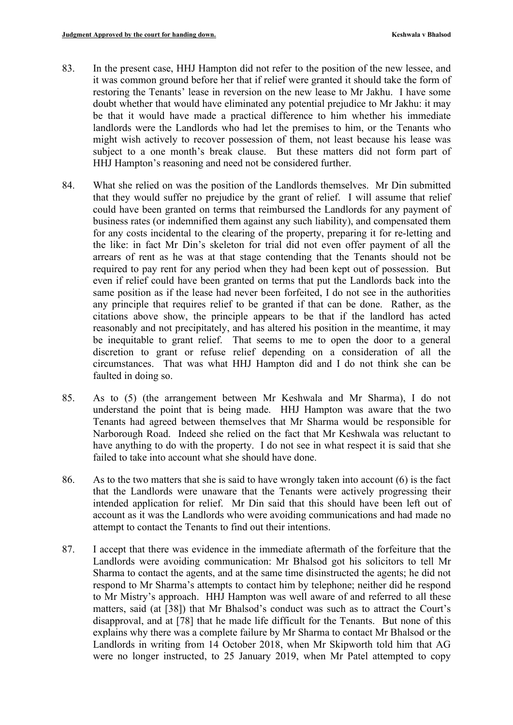- 83. In the present case, HHJ Hampton did not refer to the position of the new lessee, and it was common ground before her that if relief were granted it should take the form of restoring the Tenants' lease in reversion on the new lease to Mr Jakhu. I have some doubt whether that would have eliminated any potential prejudice to Mr Jakhu: it may be that it would have made a practical difference to him whether his immediate landlords were the Landlords who had let the premises to him, or the Tenants who might wish actively to recover possession of them, not least because his lease was subject to a one month's break clause. But these matters did not form part of HHJ Hampton's reasoning and need not be considered further.
- 84. What she relied on was the position of the Landlords themselves. Mr Din submitted that they would suffer no prejudice by the grant of relief. I will assume that relief could have been granted on terms that reimbursed the Landlords for any payment of business rates (or indemnified them against any such liability), and compensated them for any costs incidental to the clearing of the property, preparing it for re-letting and the like: in fact Mr Din's skeleton for trial did not even offer payment of all the arrears of rent as he was at that stage contending that the Tenants should not be required to pay rent for any period when they had been kept out of possession. But even if relief could have been granted on terms that put the Landlords back into the same position as if the lease had never been forfeited, I do not see in the authorities any principle that requires relief to be granted if that can be done. Rather, as the citations above show, the principle appears to be that if the landlord has acted reasonably and not precipitately, and has altered his position in the meantime, it may be inequitable to grant relief. That seems to me to open the door to a general discretion to grant or refuse relief depending on a consideration of all the circumstances. That was what HHJ Hampton did and I do not think she can be faulted in doing so.
- 85. As to (5) (the arrangement between Mr Keshwala and Mr Sharma), I do not understand the point that is being made. HHJ Hampton was aware that the two Tenants had agreed between themselves that Mr Sharma would be responsible for Narborough Road. Indeed she relied on the fact that Mr Keshwala was reluctant to have anything to do with the property. I do not see in what respect it is said that she failed to take into account what she should have done.
- 86. As to the two matters that she is said to have wrongly taken into account (6) is the fact that the Landlords were unaware that the Tenants were actively progressing their intended application for relief. Mr Din said that this should have been left out of account as it was the Landlords who were avoiding communications and had made no attempt to contact the Tenants to find out their intentions.
- 87. I accept that there was evidence in the immediate aftermath of the forfeiture that the Landlords were avoiding communication: Mr Bhalsod got his solicitors to tell Mr Sharma to contact the agents, and at the same time disinstructed the agents; he did not respond to Mr Sharma's attempts to contact him by telephone; neither did he respond to Mr Mistry's approach. HHJ Hampton was well aware of and referred to all these matters, said (at [38]) that Mr Bhalsod's conduct was such as to attract the Court's disapproval, and at [78] that he made life difficult for the Tenants. But none of this explains why there was a complete failure by Mr Sharma to contact Mr Bhalsod or the Landlords in writing from 14 October 2018, when Mr Skipworth told him that AG were no longer instructed, to 25 January 2019, when Mr Patel attempted to copy